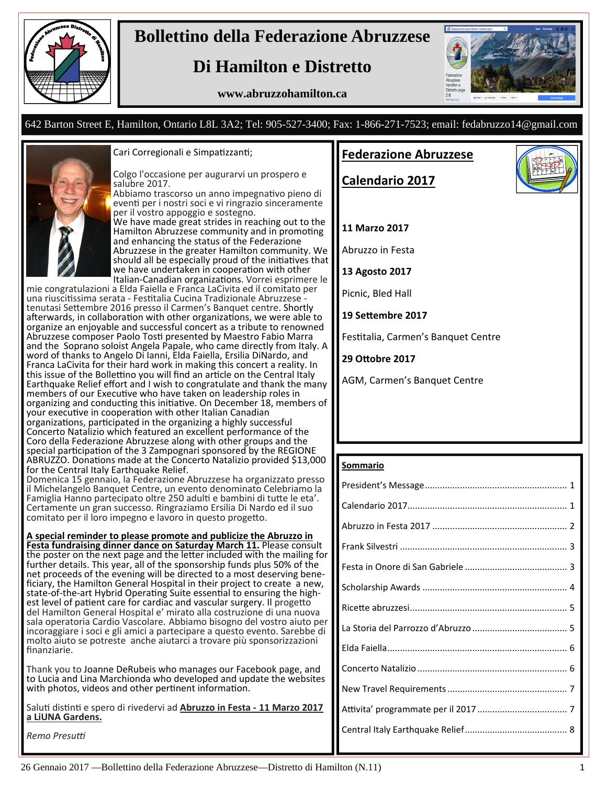

## **Bollettino della Federazione Abruzzese**

## **Di Hamilton e Distretto**

#### **www.abruzzohamilton.ca**



#### 642 Barton Street E, Hamilton, Ontario L8L 3A2; Tel: 905-527-3400; Fax: 1-866-271-7523; email: fedabruzzo14@gmail.com



#### Cari Corregionali e Simpatizzanti;

Colgo l'occasione per augurarvi un prospero e salubre 2017.

Abbiamo trascorso un anno impegnativo pieno di evenƟ per i nostri soci e vi ringrazio sinceramente per il vostro appoggio e sostegno. We have made great strides in reaching out to the Hamilton Abruzzese community and in promoting and enhancing the status of the Federazione Abruzzese in the greater Hamilton community. We should all be especially proud of the initiatives that we have undertaken in cooperation with other Italian-Canadian organizations. Vorrei esprimere le

mie congratulazioni a Elda Faiella e Franca LaCivita ed il comitato per una riuscitissima serata - Festitalia Cucina Tradizionale Abruzzese -<br>tenutasi Settembre 2016 presso il Carmen's Banquet centre. Shortly afterwards, in collaboration with other organizations, we were able to organize an enjoyable and successful concert as a tribute to renowned Abruzzese composer Paolo Tosti presented by Maestro Fabio Marra and the Soprano soloist Angela Papale, who came directly from Italy. A word of thanks to Angelo Di Ianni, Elda Faiella, Ersilia DiNardo, and Franca LaCivita for their hard work in making this concert a reality. In this issue of the Bollettino you will find an article on the Central Italy Earthquake Relief effort and I wish to congratulate and thank the many members of our Executive who have taken on leadership roles in organizing and conducting this initiative. On December 18, members of your executive in cooperation with other Italian Canadian organizations, participated in the organizing a highly successful Concerto Natalizio which featured an excellent performance of the Coro della Federazione Abruzzese along with other groups and the special participation of the 3 Zampognari sponsored by the REGIONE ABRUZZO. Donations made at the Concerto Natalizio provided \$13,000 for the Central Italy Earthquake Relief.

Domenica 15 gennaio, la Federazione Abruzzese ha organizzato presso il Michelangelo Banquet Centre, un evento denominato Celebriamo la Famiglia Hanno partecipato oltre 250 adulti e bambini di tutte le eta'. Certamente un gran successo. Ringraziamo Ersilia Di Nardo ed il suo comitato per il loro impegno e lavoro in questo progetto.

#### **A special reminder to please promote and publicize the Abruzzo in**

**Festa fundraising dinner dance on Saturday March 11.** Please consult the poster on the next page and the letter included with the mailing for further details. This year, all of the sponsorship funds plus 50% of the ficiary, the Hamilton General Hospital in their project to create a new, state-of-the-art Hybrid Operating Suite essential to ensuring the high-<br>est level of patient care for cardiac and vascular surgery. Il progetto<br>del Hamilton General Hospital e' mirato alla costruzione di una nuova sala operatoria Cardio Vascolare. Abbiamo bisogno del vostro aiuto per incoraggiare i soci e gli amici a partecipare a questo evento. Sarebbe di molto aiuto se potreste anche aiutarci a trovare più sponsorizzazioni finanziarie.

Thank you to Joanne DeRubeis who manages our Facebook page, and to Lucia and Lina Marchionda who developed and update the websites with photos, videos and other pertinent information.

SaluƟ disƟnƟ e spero di rivedervi ad **Abruzzo in Festa ‐ 11 Marzo 2017 a LiUNA Gardens.**

*Remo Presuƫ*

#### **Federazione Abruzzese**

**Calendario 2017**



#### **11 Marzo 2017**

Abruzzo in Festa

**13 Agosto 2017**

Picnic, Bled Hall

**19 SeƩembre 2017**

Festitalia, Carmen's Banquet Centre

**29 OƩobre 2017**

AGM, Carmen's Banquet Centre

#### **Sommario**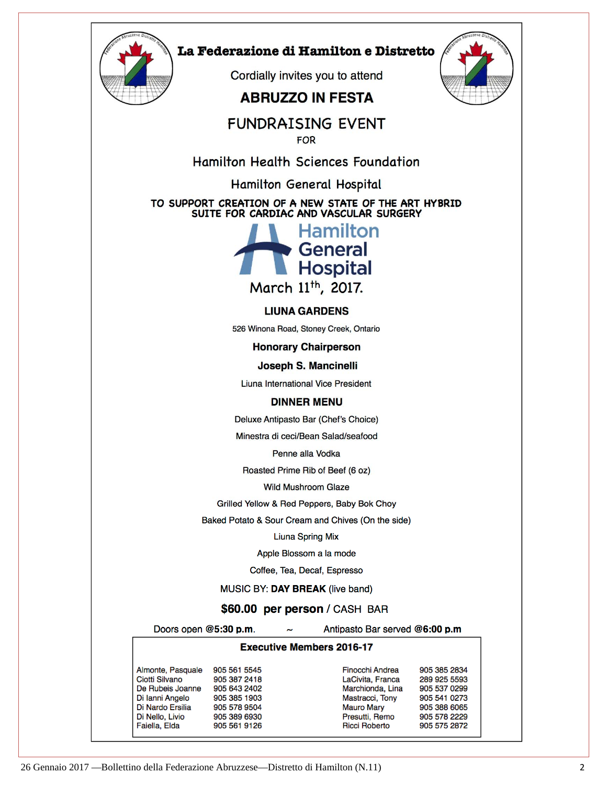

#### La Federazione di Hamilton e Distretto

Cordially invites you to attend

### **ABRUZZO IN FESTA**



### **FUNDRAISING EVENT**

**FOR** 

**Hamilton Health Sciences Foundation** 

Hamilton General Hospital

TO SUPPORT CREATION OF A NEW STATE OF THE ART HYBRID SUITE FOR CARDIAC AND VASCULAR SURGERY



#### **LIUNA GARDENS**

526 Winona Road, Stoney Creek, Ontario

**Honorary Chairperson** 

Joseph S. Mancinelli

Liuna International Vice President

#### **DINNER MENU**

Deluxe Antipasto Bar (Chef's Choice)

Minestra di ceci/Bean Salad/seafood

Penne alla Vodka

Roasted Prime Rib of Beef (6 oz)

**Wild Mushroom Glaze** 

Grilled Yellow & Red Peppers, Baby Bok Choy

Baked Potato & Sour Cream and Chives (On the side)

**Liuna Spring Mix** 

Apple Blossom a la mode

Coffee, Tea, Decaf, Espresso

MUSIC BY: DAY BREAK (live band)

#### \$60.00 per person / CASH BAR

Doors open @5:30 p.m.

Antipasto Bar served @6:00 p.m

 $\sim$ **Executive Members 2016-17** 

Almonte, Pasquale 905 561 5545 Ciotti Silvano 905 387 2418 De Rubeis Joanne 905 643 2402 Di lanni Angelo 905 385 1903 Di Nardo Ersilia 905 578 9504 Di Nello, Livio 905 389 6930 Faiella, Elda 905 561 9126

Finocchi Andrea 905 385 2834 LaCivita, Franca 289 925 5593 Marchionda, Lina 905 537 0299 Mastracci, Tony 905 541 0273 **Mauro Mary** 905 388 6065 Presutti, Remo 905 578 2229 **Ricci Roberto** 905 575 2872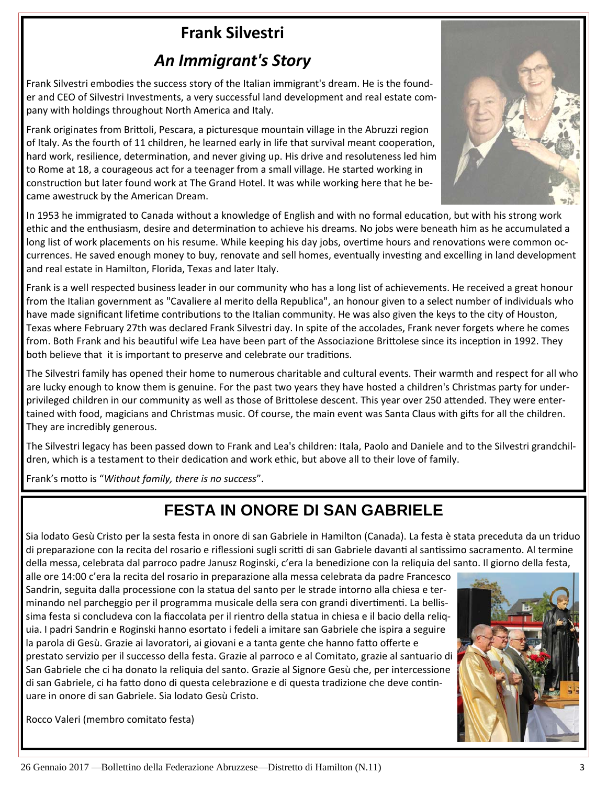# **Frank Silvestri**

### *An Immigrant's Story*

Frank Silvestri embodies the success story of the Italian immigrant's dream. He is the found‐ er and CEO of Silvestri Investments, a very successful land development and real estate company with holdings throughout North America and Italy.

Frank originates from Brittoli, Pescara, a picturesque mountain village in the Abruzzi region of Italy. As the fourth of 11 children, he learned early in life that survival meant cooperation, hard work, resilience, determination, and never giving up. His drive and resoluteness led him to Rome at 18, a courageous act for a teenager from a small village. He started working in construction but later found work at The Grand Hotel. It was while working here that he became awestruck by the American Dream.

In 1953 he immigrated to Canada without a knowledge of English and with no formal education, but with his strong work ethic and the enthusiasm, desire and determination to achieve his dreams. No jobs were beneath him as he accumulated a long list of work placements on his resume. While keeping his day jobs, overtime hours and renovations were common occurrences. He saved enough money to buy, renovate and sell homes, eventually investing and excelling in land development and real estate in Hamilton, Florida, Texas and later Italy.

Frank is a well respected business leader in our community who has a long list of achievements. He received a great honour from the Italian government as "Cavaliere al merito della Republica", an honour given to a select number of individuals who have made significant lifetime contributions to the Italian community. He was also given the keys to the city of Houston, Texas where February 27th was declared Frank Silvestri day. In spite of the accolades, Frank never forgets where he comes from. Both Frank and his beautiful wife Lea have been part of the Associazione Brittolese since its inception in 1992. They both believe that it is important to preserve and celebrate our traditions.

The Silvestri family has opened their home to numerous charitable and cultural events. Their warmth and respect for all who are lucky enough to know them is genuine. For the past two years they have hosted a children's Christmas party for under‐ privileged children in our community as well as those of Brittolese descent. This year over 250 attended. They were entertained with food, magicians and Christmas music. Of course, the main event was Santa Claus with gifts for all the children. They are incredibly generous.

The Silvestri legacy has been passed down to Frank and Lea's children: Itala, Paolo and Daniele and to the Silvestri grandchil‐ dren, which is a testament to their dedication and work ethic, but above all to their love of family.

Frank's motto is "Without family, there is no success".

## **FESTA IN ONORE DI SAN GABRIELE**

Sia lodato Gesù Cristo per la sesta festa in onore di san Gabriele in Hamilton (Canada). La festa è stata preceduta da un triduo di preparazione con la recita del rosario e riflessioni sugli scritti di san Gabriele davanti al santissimo sacramento. Al termine della messa, celebrata dal parroco padre Janusz Roginski, c'era la benedizione con la reliquia del santo. Il giorno della festa,

alle ore 14:00 c'era la recita del rosario in preparazione alla messa celebrata da padre Francesco Sandrin, seguita dalla processione con la statua del santo per le strade intorno alla chiesa e ter‐ minando nel parcheggio per il programma musicale della sera con grandi divertimenti. La bellissima festa si concludeva con la fiaccolata per il rientro della statua in chiesa e il bacio della reliq‐ uia. I padri Sandrin e Roginski hanno esortato i fedeli a imitare san Gabriele che ispira a seguire la parola di Gesù. Grazie ai lavoratori, ai giovani e a tanta gente che hanno fatto offerte e prestato servizio per il successo della festa. Grazie al parroco e al Comitato, grazie al santuario di San Gabriele che ci ha donato la reliquia del santo. Grazie al Signore Gesù che, per intercessione di san Gabriele, ci ha fatto dono di questa celebrazione e di questa tradizione che deve continuare in onore di san Gabriele. Sia lodato Gesù Cristo.

Rocco Valeri (membro comitato festa)



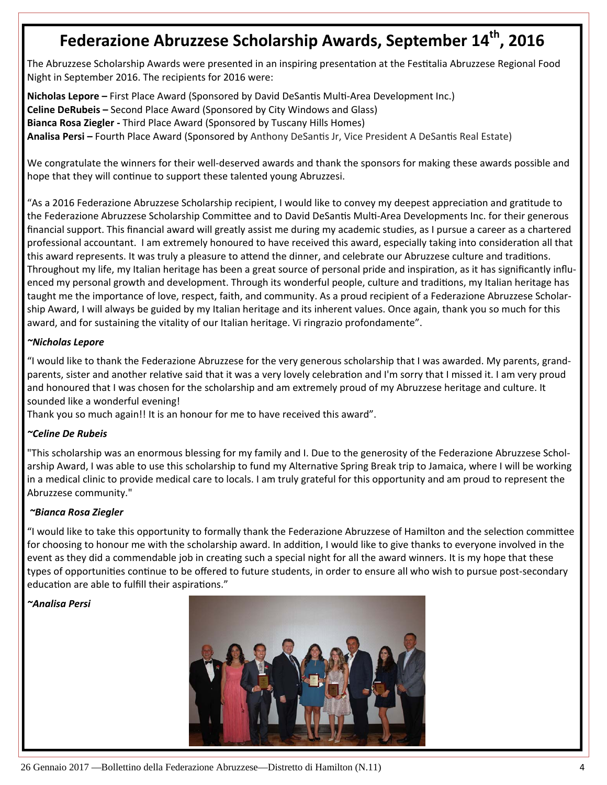## **Federazione Abruzzese Scholarship Awards, September 14th , 2016**

The Abruzzese Scholarship Awards were presented in an inspiring presentation at the Festitalia Abruzzese Regional Food Night in September 2016. The recipients for 2016 were:

**Nicholas Lepore** – First Place Award (Sponsored by David DeSantis Multi-Area Development Inc.) **Celine DeRubeis –** Second Place Award (Sponsored by City Windows and Glass) **Bianca Rosa Ziegler ‐** Third Place Award (Sponsored by Tuscany Hills Homes) **Analisa Persi –** Fourth Place Award (Sponsored by Anthony DeSanƟs Jr, Vice President A DeSanƟs Real Estate)

We congratulate the winners for their well-deserved awards and thank the sponsors for making these awards possible and hope that they will continue to support these talented young Abruzzesi.

"As a 2016 Federazione Abruzzese Scholarship recipient, I would like to convey my deepest appreciation and gratitude to the Federazione Abruzzese Scholarship Committee and to David DeSantis Multi-Area Developments Inc. for their generous financial support. This financial award will greatly assist me during my academic studies, as I pursue a career as a chartered professional accountant. I am extremely honoured to have received this award, especially taking into consideration all that this award represents. It was truly a pleasure to attend the dinner, and celebrate our Abruzzese culture and traditions. Throughout my life, my Italian heritage has been a great source of personal pride and inspiration, as it has significantly influenced my personal growth and development. Through its wonderful people, culture and traditions, my Italian heritage has taught me the importance of love, respect, faith, and community. As a proud recipient of a Federazione Abruzzese Scholar‐ ship Award, I will always be guided by my Italian heritage and its inherent values. Once again, thank you so much for this award, and for sustaining the vitality of our Italian heritage. Vi ringrazio profondamente".

#### *~Nicholas Lepore*

"I would like to thank the Federazione Abruzzese for the very generous scholarship that I was awarded. My parents, grand‐ parents, sister and another relative said that it was a very lovely celebration and I'm sorry that I missed it. I am very proud and honoured that I was chosen for the scholarship and am extremely proud of my Abruzzese heritage and culture. It sounded like a wonderful evening!

Thank you so much again!! It is an honour for me to have received this award".

#### *~Celine De Rubeis*

"This scholarship was an enormous blessing for my family and I. Due to the generosity of the Federazione Abruzzese Schol‐ arship Award, I was able to use this scholarship to fund my Alternative Spring Break trip to Jamaica, where I will be working in a medical clinic to provide medical care to locals. I am truly grateful for this opportunity and am proud to represent the Abruzzese community."

#### *~Bianca Rosa Ziegler*

"I would like to take this opportunity to formally thank the Federazione Abruzzese of Hamilton and the selection committee for choosing to honour me with the scholarship award. In addition, I would like to give thanks to everyone involved in the event as they did a commendable job in creating such a special night for all the award winners. It is my hope that these types of opportunities continue to be offered to future students, in order to ensure all who wish to pursue post-secondary education are able to fulfill their aspirations."

#### *~Analisa Persi*

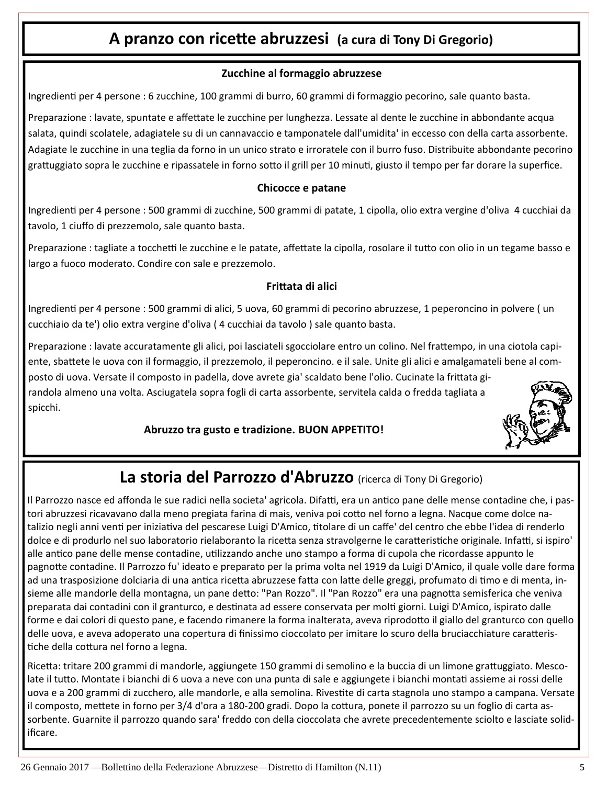### **A pranzo con riceƩe abruzzesi (a cura di Tony Di Gregorio)**

#### **Zucchine al formaggio abruzzese**

IngredienƟ per 4 persone : 6 zucchine, 100 grammi di burro, 60 grammi di formaggio pecorino, sale quanto basta.

Preparazione : lavate, spuntate e affettate le zucchine per lunghezza. Lessate al dente le zucchine in abbondante acqua salata, quindi scolatele, adagiatele su di un cannavaccio e tamponatele dall'umidita' in eccesso con della carta assorbente. Adagiate le zucchine in una teglia da forno in un unico strato e irroratele con il burro fuso. Distribuite abbondante pecorino grattuggiato sopra le zucchine e ripassatele in forno sotto il grill per 10 minuti, giusto il tempo per far dorare la superfice.

#### **Chicocce e patane**

IngredienƟ per 4 persone : 500 grammi di zucchine, 500 grammi di patate, 1 cipolla, olio extra vergine d'oliva 4 cucchiai da tavolo, 1 ciuffo di prezzemolo, sale quanto basta.

Preparazione : tagliate a tocchetti le zucchine e le patate, affettate la cipolla, rosolare il tutto con olio in un tegame basso e largo a fuoco moderato. Condire con sale e prezzemolo.

#### **FriƩata di alici**

Ingredienti per 4 persone : 500 grammi di alici, 5 uova, 60 grammi di pecorino abruzzese, 1 peperoncino in polvere (un cucchiaio da te') olio extra vergine d'oliva ( 4 cucchiai da tavolo ) sale quanto basta.

Preparazione : lavate accuratamente gli alici, poi lasciateli sgocciolare entro un colino. Nel frattempo, in una ciotola capiente, sbattete le uova con il formaggio, il prezzemolo, il peperoncino. e il sale. Unite gli alici e amalgamateli bene al composto di uova. Versate il composto in padella, dove avrete gia' scaldato bene l'olio. Cucinate la frittata girandola almeno una volta. Asciugatela sopra fogli di carta assorbente, servitela calda o fredda tagliata a spicchi.

#### **Abruzzo tra gusto e tradizione. BUON APPETITO!**



### **La storia del Parrozzo d'Abruzzo** (ricerca di Tony Di Gregorio)

Il Parrozzo nasce ed affonda le sue radici nella societa' agricola. Difatti, era un antico pane delle mense contadine che, i pastori abruzzesi ricavavano dalla meno pregiata farina di mais, veniva poi cotto nel forno a legna. Nacque come dolce natalizio negli anni venti per iniziativa del pescarese Luigi D'Amico, titolare di un caffe' del centro che ebbe l'idea di renderlo dolce e di produrlo nel suo laboratorio rielaboranto la ricetta senza stravolgerne le caratteristiche originale. Infatti, si ispiro' alle antico pane delle mense contadine, utilizzando anche uno stampo a forma di cupola che ricordasse appunto le pagnotte contadine. Il Parrozzo fu' ideato e preparato per la prima volta nel 1919 da Luigi D'Amico, il quale volle dare forma ad una trasposizione dolciaria di una antica ricetta abruzzese fatta con latte delle greggi, profumato di timo e di menta, insieme alle mandorle della montagna, un pane detto: "Pan Rozzo". Il "Pan Rozzo" era una pagnotta semisferica che veniva preparata dai contadini con il granturco, e destinata ad essere conservata per molti giorni. Luigi D'Amico, ispirato dalle forme e dai colori di questo pane, e facendo rimanere la forma inalterata, aveva riprodotto il giallo del granturco con quello delle uova, e aveva adoperato una copertura di finissimo cioccolato per imitare lo scuro della bruciacchiature caratteristiche della cottura nel forno a legna.

Ricetta: tritare 200 grammi di mandorle, aggiungete 150 grammi di semolino e la buccia di un limone grattuggiato. Mescolate il tutto. Montate i bianchi di 6 uova a neve con una punta di sale e aggiungete i bianchi montati assieme ai rossi delle uova e a 200 grammi di zucchero, alle mandorle, e alla semolina. Rivestite di carta stagnola uno stampo a campana. Versate il composto, mettete in forno per 3/4 d'ora a 180-200 gradi. Dopo la cottura, ponete il parrozzo su un foglio di carta assorbente. Guarnite il parrozzo quando sara' freddo con della cioccolata che avrete precedentemente sciolto e lasciate solidificare.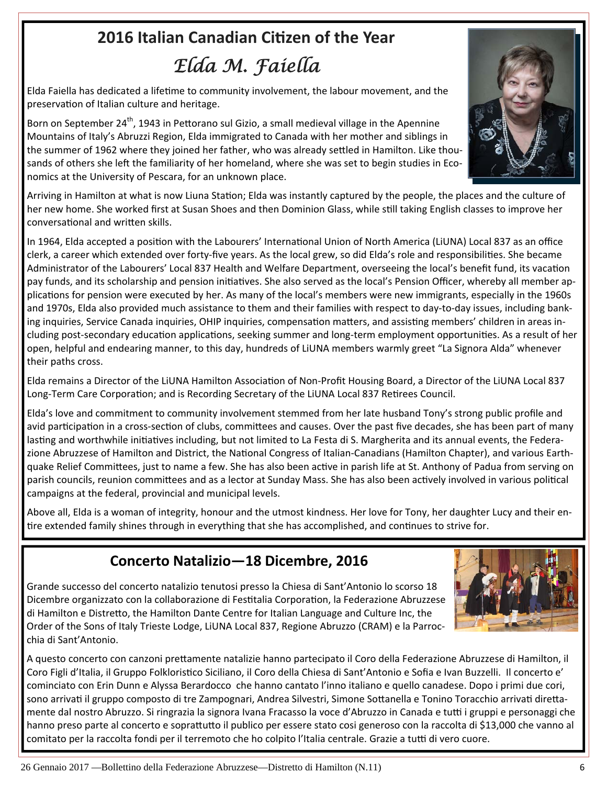# **2016 Italian Canadian CiƟzen of the Year** *Elda M. Faiella*

Elda Faiella has dedicated a lifetime to community involvement, the labour movement, and the preservation of Italian culture and heritage.

Born on September 24<sup>th</sup>, 1943 in Pettorano sul Gizio, a small medieval village in the Apennine Mountains of Italy's Abruzzi Region, Elda immigrated to Canada with her mother and siblings in the summer of 1962 where they joined her father, who was already settled in Hamilton. Like thousands of others she left the familiarity of her homeland, where she was set to begin studies in Economics at the University of Pescara, for an unknown place.

Arriving in Hamilton at what is now Liuna Station; Elda was instantly captured by the people, the places and the culture of her new home. She worked first at Susan Shoes and then Dominion Glass, while still taking English classes to improve her conversational and written skills.

In 1964, Elda accepted a position with the Labourers' International Union of North America (LiUNA) Local 837 as an office clerk, a career which extended over forty-five years. As the local grew, so did Elda's role and responsibilities. She became Administrator of the Labourers' Local 837 Health and Welfare Department, overseeing the local's benefit fund, its vacation pay funds, and its scholarship and pension initiatives. She also served as the local's Pension Officer, whereby all member applications for pension were executed by her. As many of the local's members were new immigrants, especially in the 1960s and 1970s, Elda also provided much assistance to them and their families with respect to day‐to‐day issues, including bank‐ ing inquiries, Service Canada inquiries, OHIP inquiries, compensation matters, and assisting members' children in areas including post-secondary education applications, seeking summer and long-term employment opportunities. As a result of her open, helpful and endearing manner, to this day, hundreds of LiUNA members warmly greet "La Signora Alda" whenever their paths cross.

Elda remains a Director of the LiUNA Hamilton Association of Non-Profit Housing Board, a Director of the LiUNA Local 837 Long-Term Care Corporation; and is Recording Secretary of the LiUNA Local 837 Retirees Council.

Elda's love and commitment to community involvement stemmed from her late husband Tony's strong public profile and avid participation in a cross-section of clubs, committees and causes. Over the past five decades, she has been part of many lasting and worthwhile initiatives including, but not limited to La Festa di S. Margherita and its annual events, the Federazione Abruzzese of Hamilton and District, the National Congress of Italian-Canadians (Hamilton Chapter), and various Earthquake Relief Committees, just to name a few. She has also been active in parish life at St. Anthony of Padua from serving on parish councils, reunion committees and as a lector at Sunday Mass. She has also been actively involved in various political campaigns at the federal, provincial and municipal levels.

Above all, Elda is a woman of integrity, honour and the utmost kindness. Her love for Tony, her daughter Lucy and their en‐ tire extended family shines through in everything that she has accomplished, and continues to strive for.

### **Concerto Natalizio—18 Dicembre, 2016**

Grande successo del concerto natalizio tenutosi presso la Chiesa di Sant'Antonio lo scorso 18 Dicembre organizzato con la collaborazione di Festitalia Corporation, la Federazione Abruzzese di Hamilton e Distretto, the Hamilton Dante Centre for Italian Language and Culture Inc, the Order of the Sons of Italy Trieste Lodge, LiUNA Local 837, Regione Abruzzo (CRAM) e la Parroc‐ chia di Sant'Antonio.



A questo concerto con canzoni prettamente natalizie hanno partecipato il Coro della Federazione Abruzzese di Hamilton, il Coro Figli d'Italia, il Gruppo Folkloristico Siciliano, il Coro della Chiesa di Sant'Antonio e Sofia e Ivan Buzzelli. Il concerto e' cominciato con Erin Dunn e Alyssa Berardocco che hanno cantato l'inno italiano e quello canadese. Dopo i primi due cori, sono arrivati il gruppo composto di tre Zampognari, Andrea Silvestri, Simone Sottanella e Tonino Toracchio arrivati direttamente dal nostro Abruzzo. Si ringrazia la signora Ivana Fracasso la voce d'Abruzzo in Canada e tuƫ i gruppi e personaggi che hanno preso parte al concerto e soprattutto il publico per essere stato cosi generoso con la raccolta di \$13,000 che vanno al comitato per la raccolta fondi per il terremoto che ho colpito l'Italia centrale. Grazie a tutti di vero cuore.

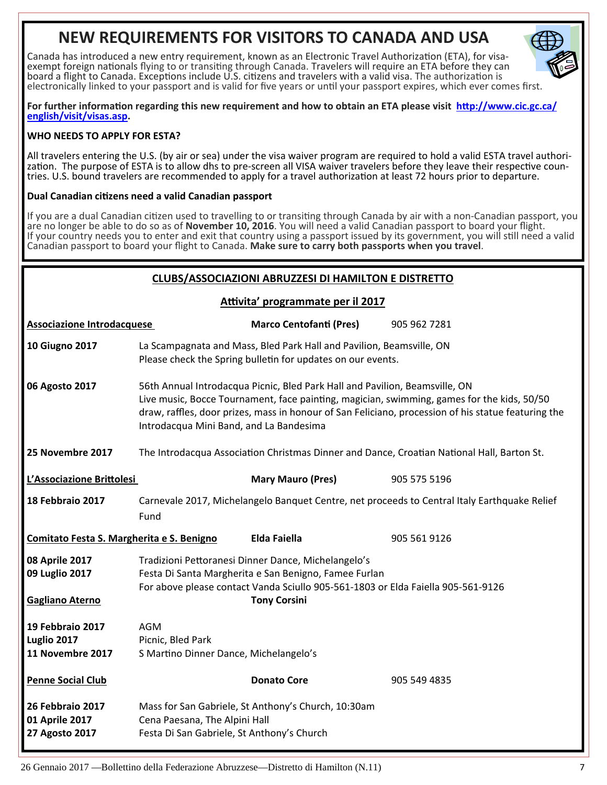## **NEW REQUIREMENTS FOR VISITORS TO CANADA AND USA**

Canada has introduced a new entry requirement, known as an Electronic Travel Authorization (ETA), for visa-<br>exempt foreign nationals flying to or transiting through Canada. Travelers will require an ETA before they can board a flight to Canada. Exceptions include U.S. citizens and travelers with a valid visa. The authorization is electronically linked to your passport and is valid for five years or until your passport expires, which ever comes first.



For further information regarding this new requirement and how to obtain an ETA please visit http://www.cic.gc.ca/ **english/visit/visas.asp.**

#### **WHO NEEDS TO APPLY FOR ESTA?**

All travelers entering the U.S. (by air or sea) under the visa waiver program are required to hold a valid ESTA travel authori-<br>zation. The purpose of ESTA is to allow dhs to pre-screen all VISA waiver travelers before the

#### **Dual Canadian ciƟzens need a valid Canadian passport**

If you are a dual Canadian citizen used to travelling to or transiting through Canada by air with a non-Canadian passport, you are no longer be able to do so as of **November 10, 2016**. You will need a valid Canadian passport to board your flight. If your country needs you to enter and exit that country using a passport issued by its government, you will still need a valid Canadian passport to board your flight to Canada. **Make sure to carry both passports when you travel**.

#### **CLUBS/ASSOCIAZIONI ABRUZZESI DI HAMILTON E DISTRETTO**

| <b>CLUBS/ASSOCIAZIONI ABRUZZESI DI HAMILTON E DISTRETTO</b> |                                                                                                                                                                                                                                                                                                                             |                                                     |                                                                                              |  |
|-------------------------------------------------------------|-----------------------------------------------------------------------------------------------------------------------------------------------------------------------------------------------------------------------------------------------------------------------------------------------------------------------------|-----------------------------------------------------|----------------------------------------------------------------------------------------------|--|
| Attivita' programmate per il 2017                           |                                                                                                                                                                                                                                                                                                                             |                                                     |                                                                                              |  |
| <b>Associazione Introdacquese</b>                           |                                                                                                                                                                                                                                                                                                                             | <b>Marco Centofanti (Pres)</b>                      | 905 962 7281                                                                                 |  |
| <b>10 Giugno 2017</b>                                       | La Scampagnata and Mass, Bled Park Hall and Pavilion, Beamsville, ON<br>Please check the Spring bulletin for updates on our events.                                                                                                                                                                                         |                                                     |                                                                                              |  |
| 06 Agosto 2017                                              | 56th Annual Introdacqua Picnic, Bled Park Hall and Pavilion, Beamsville, ON<br>Live music, Bocce Tournament, face painting, magician, swimming, games for the kids, 50/50<br>draw, raffles, door prizes, mass in honour of San Feliciano, procession of his statue featuring the<br>Introdacqua Mini Band, and La Bandesima |                                                     |                                                                                              |  |
| 25 Novembre 2017                                            | The Introdacqua Association Christmas Dinner and Dance, Croatian National Hall, Barton St.                                                                                                                                                                                                                                  |                                                     |                                                                                              |  |
| L'Associazione Brittolesi                                   |                                                                                                                                                                                                                                                                                                                             | <b>Mary Mauro (Pres)</b>                            | 905 575 5196                                                                                 |  |
| 18 Febbraio 2017                                            | Fund                                                                                                                                                                                                                                                                                                                        |                                                     | Carnevale 2017, Michelangelo Banquet Centre, net proceeds to Central Italy Earthquake Relief |  |
| Comitato Festa S. Margherita e S. Benigno                   |                                                                                                                                                                                                                                                                                                                             | Elda Faiella                                        | 905 561 9126                                                                                 |  |
| 08 Aprile 2017<br>09 Luglio 2017<br><b>Gagliano Aterno</b>  | Tradizioni Pettoranesi Dinner Dance, Michelangelo's<br>Festa Di Santa Margherita e San Benigno, Famee Furlan<br>For above please contact Vanda Sciullo 905-561-1803 or Elda Faiella 905-561-9126<br><b>Tony Corsini</b>                                                                                                     |                                                     |                                                                                              |  |
| 19 Febbraio 2017<br>Luglio 2017<br>11 Novembre 2017         | <b>AGM</b><br>Picnic, Bled Park<br>S Martino Dinner Dance, Michelangelo's                                                                                                                                                                                                                                                   |                                                     |                                                                                              |  |
| <b>Penne Social Club</b>                                    |                                                                                                                                                                                                                                                                                                                             | <b>Donato Core</b>                                  | 905 549 4835                                                                                 |  |
| 26 Febbraio 2017                                            |                                                                                                                                                                                                                                                                                                                             | Mass for San Gabriele, St Anthony's Church, 10:30am |                                                                                              |  |

**27 Agosto 2017** Festa Di San Gabriele, St Anthony's Church

**01 Aprile 2017** Cena Paesana, The Alpini Hall